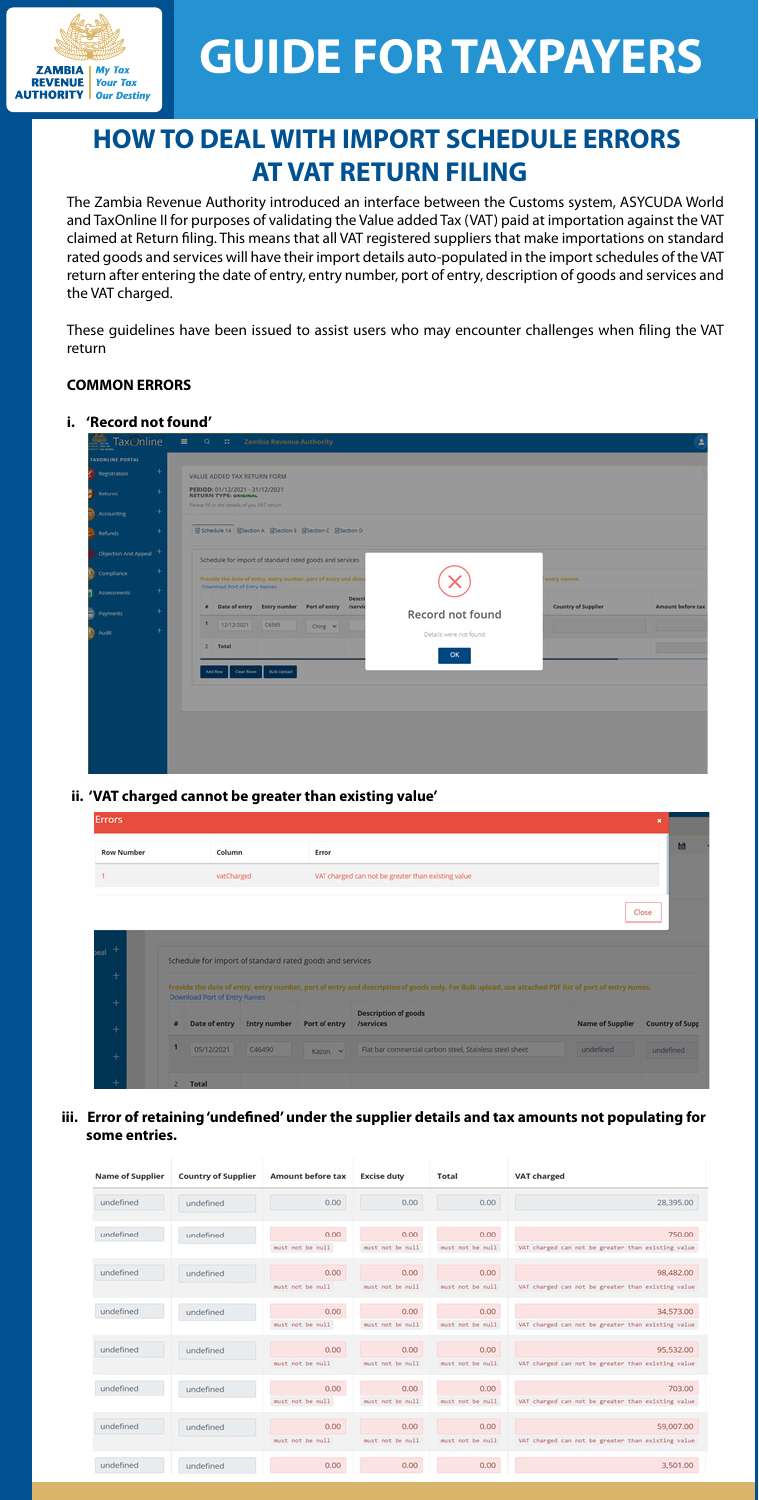

# **GUIDE FOR TAXPAYERS**

# **HOW TO DEAL WITH IMPORT SCHEDULE ERRORS AT VAT RETURN FILING**

The Zambia Revenue Authority introduced an interface between the Customs system, ASYCUDA World and TaxOnline II for purposes of validating the Value added Tax (VAT) paid at importation against the VAT claimed at Return filing. This means that all VAT registered suppliers that make importations on standard rated goods and services will have their import details auto-populated in the import schedules of the VAT return after entering the date of entry, entry number, port of entry, description of goods and services and the VAT charged.

These guidelines have been issued to assist users who may encounter challenges when filing the VAT return

iii. Error of retaining 'undefined' under the supplier details and tax amounts not populating for  **some entries.**

| <b>Name of Supplier</b> | <b>Country of Supplier</b> | <b>Amount before tax</b> | <b>Excise duty</b>       | Total                     | <b>VAT charged</b>                                              |
|-------------------------|----------------------------|--------------------------|--------------------------|---------------------------|-----------------------------------------------------------------|
| undefined               | undefined                  | 0.00                     | 0.00                     | 0.00                      | 28.395.00                                                       |
| undefined               | undefined                  | 0.00<br>must not be null | 0.00<br>must not be null | 0.00<br>must not be null. | 750.00<br>VAT charged can not be greater than existing value    |
| undefined               | undefined                  | 0.00<br>must not be null | 0.00<br>must not be null | 0.00<br>must not be null  | 98,482.00<br>VAT charged can not be greater than existing value |
| undefined               | undefined                  | 0.00<br>must not be null | 0.00<br>must not be null | 0.00<br>must not be null  | 34,573.00<br>VAT charged can not be greater than existing value |
| undefined               | undefined                  | 0.00                     | 0.00                     | 0.00                      | 95.532.00                                                       |
| undefined               | undefined                  | must not be null<br>0.00 | must not be null<br>0.00 | must not be null<br>0.00  | VAT charged can not be greater than existing value<br>703.00    |
| undefined               | undefined                  | must not be null<br>0.00 | must not be null<br>0.00 | must not be null<br>0.00  | VAT charged can not be greater than existing value<br>59,007.00 |
| undefined               | undefined                  | must not be null<br>0.00 | must not be null<br>0.00 | must not be null<br>0.00  | VAT charged can not be greater than existing value<br>3,501.00  |

### **COMMON ERRORS**

#### **i. 'Record not found'**

| <b>TaxOnline</b>     | $\equiv$<br>Q 23 Zambia Revenue Authority                                                                                  | Δ                        |
|----------------------|----------------------------------------------------------------------------------------------------------------------------|--------------------------|
| TAXONUME PORTAL      |                                                                                                                            |                          |
| Registration         | VALUE ADDED TAX RETURN FORM                                                                                                |                          |
| Returns              | PERIOD: 01/12/2021 - 31/12/2021<br><b>RETURN TYPE: ORIGINAL</b>                                                            |                          |
| <b>Accounting</b>    | Please fill in the details of you VAT return                                                                               |                          |
| Refunds              | ESchedule 14 ESection A ESection B ESection C ESection D                                                                   |                          |
| Objection And Appeal | Schedule for import of standard rated goods and services                                                                   |                          |
| Compilance           | Provide the date of entry, entry number, port of entry and desc<br>entry names.                                            |                          |
| <b>Assessments</b>   | Download Port of Entry Names<br>Descri<br># Date of entry Entry number Port of entry /servic<br><b>Country of Supplier</b> | <b>Amount before tax</b> |
| Payments             | Record not found                                                                                                           |                          |
| Audit                | ٠<br>12/12/2021<br>C6595<br>Ching v<br>Details were not found.                                                             |                          |
|                      | <b>Total</b><br>٠<br>OK                                                                                                    |                          |
|                      | <b>Bulk Upload</b><br>Clear Rows<br>and Row                                                                                |                          |
|                      |                                                                                                                            |                          |
|                      |                                                                                                                            |                          |
|                      |                                                                                                                            |                          |
|                      |                                                                                                                            |                          |
|                      |                                                                                                                            |                          |
|                      |                                                                                                                            |                          |

**ii. 'VAT charged cannot be greater than existing value'** 

| <b>Errors</b>     |                              |                                                          |               |                                                                                                                                                      |                         | ×                      |
|-------------------|------------------------------|----------------------------------------------------------|---------------|------------------------------------------------------------------------------------------------------------------------------------------------------|-------------------------|------------------------|
| <b>Row Number</b> | Column                       |                                                          | Error         |                                                                                                                                                      |                         | м                      |
| 1                 | vatCharged                   |                                                          |               | VAT charged can not be greater than existing value                                                                                                   |                         |                        |
|                   |                              |                                                          |               |                                                                                                                                                      |                         | Close                  |
| eal               |                              | Schedule for import of standard rated goods and services |               |                                                                                                                                                      |                         |                        |
|                   | Download Port of Entry Names |                                                          |               | Provide the date of entry, entry number, port of entry and description of goods only. For Bulk upload, use attached PDF list of port of entry names. |                         |                        |
|                   | Date of entry                | <b>Entry number</b>                                      | Port of entry | <b>Description of goods</b><br><b>/services</b>                                                                                                      | <b>Name of Supplier</b> | <b>Country of Supp</b> |
|                   | 05/12/2021                   | C46490                                                   | Kazun v       | Flat bar commercial carbon steel, Stainless steel sheet                                                                                              | undefined               | undefined              |
|                   | Total                        |                                                          |               |                                                                                                                                                      |                         |                        |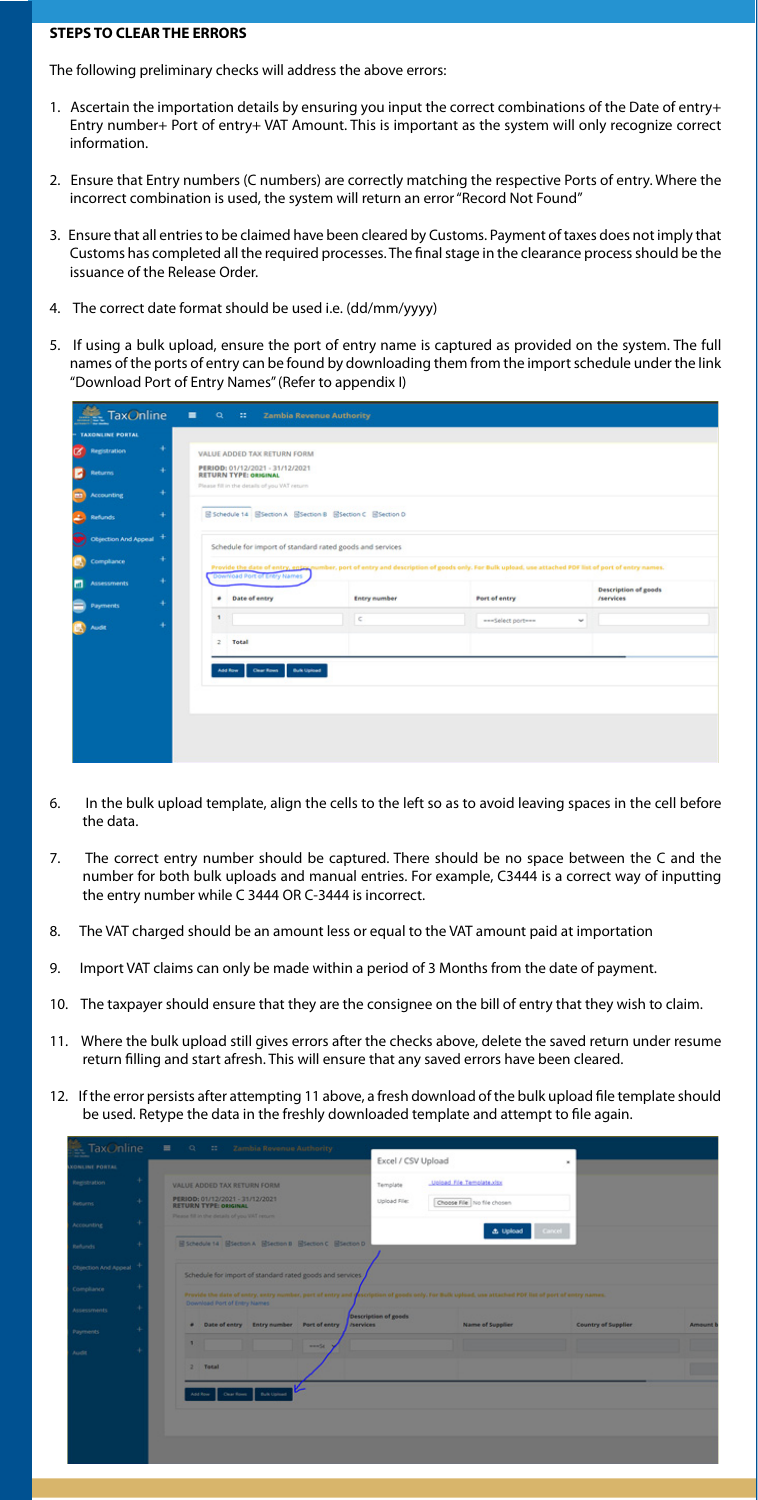#### **STEPS TO CLEAR THE ERRORS**

The following preliminary checks will address the above errors:

- 6. In the bulk upload template, align the cells to the left so as to avoid leaving spaces in the cell before the data.
- 7. The correct entry number should be captured. There should be no space between the C and the number for both bulk uploads and manual entries. For example, C3444 is a correct way of inputting the entry number while C 3444 OR C-3444 is incorrect.
- 8. The VAT charged should be an amount less or equal to the VAT amount paid at importation
- 9. Import VAT claims can only be made within a period of 3 Months from the date of payment.
- 10. The taxpayer should ensure that they are the consignee on the bill of entry that they wish to claim.
- 11. Where the bulk upload still gives errors after the checks above, delete the saved return under resume return filling and start afresh. This will ensure that any saved errors have been cleared.
- 12. If the error persists after attempting 11 above, a fresh download of the bulk upload file template should be used. Retype the data in the freshly downloaded template and attempt to file again.

| se raxonine<br><b>JATRON INLINE</b> |                                                                 |                                          |              | Excel / CSV Upload   |                                                                                                                                                     | ×                          |                |
|-------------------------------------|-----------------------------------------------------------------|------------------------------------------|--------------|----------------------|-----------------------------------------------------------------------------------------------------------------------------------------------------|----------------------------|----------------|
| Registration                        | VALUE ADDED TAX RETURN FORM                                     |                                          |              | Template             | Upload File Template.xisx                                                                                                                           |                            |                |
| Returns.                            | PERIOD: 01/12/2021 - 31/12/2021<br><b>RETURN TYPE: ORIGINAL</b> |                                          |              | Upload File:         | Choose File: No file chosen                                                                                                                         |                            |                |
| <b>Accounting</b>                   | Please fill in the details of you VAT return                    |                                          |              |                      |                                                                                                                                                     |                            |                |
| Refunds                             | B Schedule 14 BSection A BSection B BSection C BSection D       |                                          |              |                      | <b>d</b> Upload                                                                                                                                     | Cancel                     |                |
| Objection And Appeal                | Schedule for import of standard rated goods and services        |                                          |              |                      |                                                                                                                                                     |                            |                |
| Compliance                          |                                                                 |                                          |              |                      | Provide the date of entry, entry nomber, port of entry and recription of goods only. For Bulk upload, use attached PDF list of port of entry names. |                            |                |
| Assessments                         | Download Port of Entry Names                                    |                                          |              | Description of goods |                                                                                                                                                     |                            |                |
| Payments                            | ٠                                                               | Date of entry Entry number Port of entry |              | <b>Jaervices</b>     | <b>Name of Supplier</b>                                                                                                                             | <b>Country of Supplier</b> | <b>Amount!</b> |
| Audit                               | ٠                                                               |                                          | <b>START</b> |                      |                                                                                                                                                     |                            |                |
|                                     | Total<br>э.                                                     |                                          |              |                      |                                                                                                                                                     |                            |                |
|                                     | Clear Rows<br><b>And Row</b>                                    | <b>Bulk Upload</b>                       |              |                      |                                                                                                                                                     |                            |                |
|                                     |                                                                 |                                          |              |                      |                                                                                                                                                     |                            |                |
|                                     |                                                                 |                                          |              |                      |                                                                                                                                                     |                            |                |
|                                     |                                                                 |                                          |              |                      |                                                                                                                                                     |                            |                |

- 1. Ascertain the importation details by ensuring you input the correct combinations of the Date of entry+ Entry number+ Port of entry+ VAT Amount. This is important as the system will only recognize correct information.
- 2. Ensure that Entry numbers (C numbers) are correctly matching the respective Ports of entry. Where the incorrect combination is used, the system will return an error "Record Not Found"
- 3. Ensure that all entries to be claimed have been cleared by Customs. Payment of taxes does not imply that Customs has completed all the required processes. The final stage in the clearance process should be the issuance of the Release Order.
- 4. The correct date format should be used i.e. (dd/mm/yyyy)
- 5. If using a bulk upload, ensure the port of entry name is captured as provided on the system. The full names of the ports of entry can be found by downloading them from the import schedule under the link "Download Port of Entry Names" (Refer to appendix I)

|                | <b>TaxOnline</b>        |   | ٠<br>$\alpha$                                                   | $\mathbb{R}^2$               | <b>Zambia Revenue Authority</b>                           |                                                                                                                                                      |                             |  |  |
|----------------|-------------------------|---|-----------------------------------------------------------------|------------------------------|-----------------------------------------------------------|------------------------------------------------------------------------------------------------------------------------------------------------------|-----------------------------|--|--|
|                | <b>TAXONLINE PORTAL</b> |   |                                                                 |                              |                                                           |                                                                                                                                                      |                             |  |  |
| $\alpha$       | <b>Registration</b>     |   |                                                                 | VALUE ADDED TAX RETURN FORM  |                                                           |                                                                                                                                                      |                             |  |  |
| Ы              | <b>Returns</b>          |   | PERIOD: 01/12/2021 - 31/12/2021<br><b>RETURN TYPE: ORIGINAL</b> |                              |                                                           |                                                                                                                                                      |                             |  |  |
| $\blacksquare$ | <b>Accounting</b>       |   | Please fill in the details of you WIT return                    |                              |                                                           |                                                                                                                                                      |                             |  |  |
| ÷.             | <b>Refunds</b>          |   |                                                                 |                              | 固 Schedule 14 回Section A 回Section B 回Section C 回Section D |                                                                                                                                                      |                             |  |  |
|                | Objection And Appeal +  |   | Schedule for import of standard rated goods and services        |                              |                                                           |                                                                                                                                                      |                             |  |  |
|                | Compliance              |   |                                                                 |                              |                                                           | Provide the date of entry, entry number, port of entry and description of goods only. For Bulk upload, use attached PDF list of port of entry names. |                             |  |  |
| <b>Ind</b>     | Assessments             | ٠ |                                                                 | Download Port of Entry Names |                                                           |                                                                                                                                                      | <b>Description of goods</b> |  |  |
|                | <b>Payments</b>         | ٠ | ٠                                                               | Date of entry                | <b>Entry number</b>                                       | Port of entry                                                                                                                                        | <b>/services</b>            |  |  |
|                | <b>Audit</b>            | ٠ | 1                                                               |                              | $\subset$                                                 | *** Select port ***<br>$\mathcal{L}_{\mathcal{C}}$                                                                                                   |                             |  |  |
|                |                         |   | $\mathbb{Z}$                                                    | Total                        |                                                           |                                                                                                                                                      |                             |  |  |
|                |                         |   |                                                                 | Add Row<br>Clear Rows        | <b>Bulk Upload</b>                                        |                                                                                                                                                      |                             |  |  |